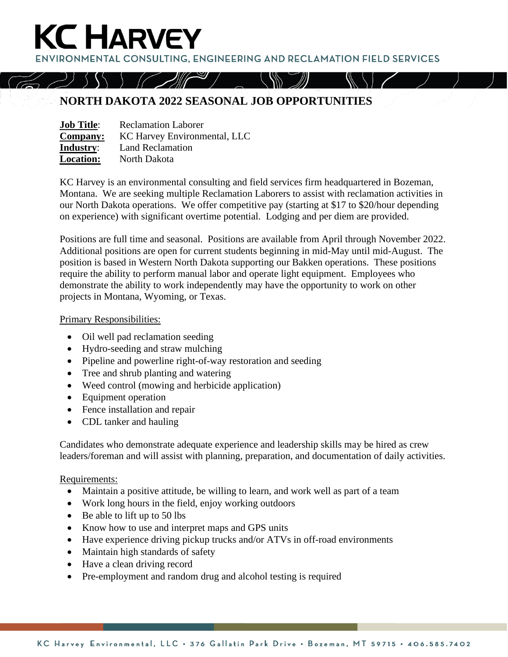**ENVIRONMENTAL CONSULTING. ENGINEERING AND RECLAMATION FIELD SERVICES** 

## **NORTH DAKOTA 2022 SEASONAL JOB OPPORTUNITIES**

| <b>Job Title:</b> | <b>Reclamation Laborer</b>   |
|-------------------|------------------------------|
| <b>Company:</b>   | KC Harvey Environmental, LLC |
| <b>Industry:</b>  | <b>Land Reclamation</b>      |
| <b>Location:</b>  | North Dakota                 |

**KC HARVEY** 

KC Harvey is an environmental consulting and field services firm headquartered in Bozeman, Montana. We are seeking multiple Reclamation Laborers to assist with reclamation activities in our North Dakota operations. We offer competitive pay (starting at \$17 to \$20/hour depending on experience) with significant overtime potential. Lodging and per diem are provided.

Positions are full time and seasonal. Positions are available from April through November 2022. Additional positions are open for current students beginning in mid-May until mid-August. The position is based in Western North Dakota supporting our Bakken operations. These positions require the ability to perform manual labor and operate light equipment. Employees who demonstrate the ability to work independently may have the opportunity to work on other projects in Montana, Wyoming, or Texas.

#### Primary Responsibilities:

- Oil well pad reclamation seeding
- Hydro-seeding and straw mulching
- Pipeline and powerline right-of-way restoration and seeding
- Tree and shrub planting and watering
- Weed control (mowing and herbicide application)
- Equipment operation
- Fence installation and repair
- CDL tanker and hauling

Candidates who demonstrate adequate experience and leadership skills may be hired as crew leaders/foreman and will assist with planning, preparation, and documentation of daily activities.

### Requirements:

- Maintain a positive attitude, be willing to learn, and work well as part of a team
- Work long hours in the field, enjoy working outdoors
- Be able to lift up to 50 lbs
- Know how to use and interpret maps and GPS units
- Have experience driving pickup trucks and/or ATVs in off-road environments
- Maintain high standards of safety
- Have a clean driving record
- Pre-employment and random drug and alcohol testing is required